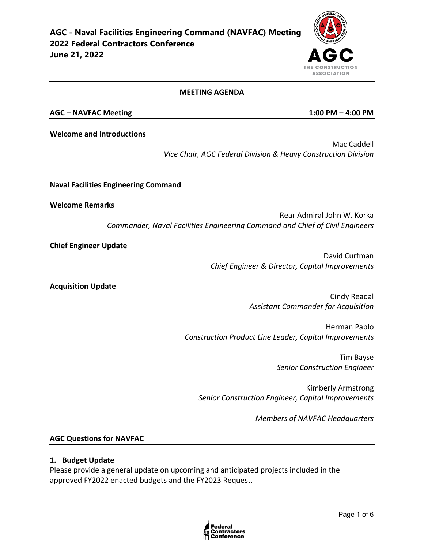#### **MEETING AGENDA**

#### **AGC – NAVFAC Meeting 1:00 PM – 4:00 PM**

**Welcome and Introductions**

Mac Caddell *Vice Chair, AGC Federal Division & Heavy Construction Division*

**Naval Facilities Engineering Command** 

**Welcome Remarks** 

Rear Admiral John W. Korka *Commander, Naval Facilities Engineering Command and Chief of Civil Engineers*

**Chief Engineer Update**

David Curfman *Chief Engineer & Director, Capital Improvements*

**Acquisition Update**

Cindy Readal *Assistant Commander for Acquisition*

Herman Pablo *Construction Product Line Leader, Capital Improvements*

> Tim Bayse *Senior Construction Engineer*

Kimberly Armstrong *Senior Construction Engineer, Capital Improvements*

*Members of NAVFAC Headquarters*

#### **AGC Questions for NAVFAC**

#### **1. Budget Update**

Please provide a general update on upcoming and anticipated projects included in the approved FY2022 enacted budgets and the FY2023 Request.



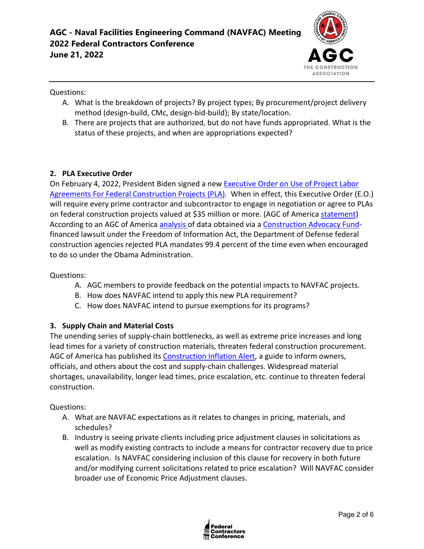

Questions:

- A. What is the breakdown of projects? By project types; By procurement/project delivery method (design-build, CMc, design-bid-build); By state/location.
- B. There are projects that are authorized, but do not have funds appropriated. What is the status of these projects, and when are appropriations expected?

## **2. PLA Executive Order**

On February 4, 2022, President Biden signed a new [Executive Order on Use of Project Labor](https://nam12.safelinks.protection.outlook.com/?url=https%3A%2F%2Fwww.whitehouse.gov%2Fbriefing-room%2Fpresidential-actions%2F2022%2F02%2F04%2Fexecutive-order-on-use-of-project-labor-agreements-for-federal-construction-projects%2F&data=04%7C01%7Cjimmy.christianson%40agc.org%7C9a54ffe1775c4b33b2e708d9e8301d61%7C4602d740c1bb4d33b33a435efb6aa1bd%7C0%7C0%7C637796115617974723%7CUnknown%7CTWFpbGZsb3d8eyJWIjoiMC4wLjAwMDAiLCJQIjoiV2luMzIiLCJBTiI6Ik1haWwiLCJXVCI6Mn0%3D%7C3000&sdata=3UwKG%2FHFXcoGKt%2B802izNRlIVSQtUbx7E4yOMXgBSQs%3D&reserved=0)  [Agreements For Federal Construction Projects \(PLA\).](https://nam12.safelinks.protection.outlook.com/?url=https%3A%2F%2Fwww.whitehouse.gov%2Fbriefing-room%2Fpresidential-actions%2F2022%2F02%2F04%2Fexecutive-order-on-use-of-project-labor-agreements-for-federal-construction-projects%2F&data=04%7C01%7Cjimmy.christianson%40agc.org%7C9a54ffe1775c4b33b2e708d9e8301d61%7C4602d740c1bb4d33b33a435efb6aa1bd%7C0%7C0%7C637796115617974723%7CUnknown%7CTWFpbGZsb3d8eyJWIjoiMC4wLjAwMDAiLCJQIjoiV2luMzIiLCJBTiI6Ik1haWwiLCJXVCI6Mn0%3D%7C3000&sdata=3UwKG%2FHFXcoGKt%2B802izNRlIVSQtUbx7E4yOMXgBSQs%3D&reserved=0) When in effect, this Executive Order (E.O.) will require every prime contractor and subcontractor to engage in negotiation or agree to PLAs on federal construction projects valued at \$35 million or more. (AGC of America [statement\)](https://www.agc.org/news/2022/02/04/biden-order-imposing-project-labor-agreements-federal-projects-will-inflate-construction-costs) According to an AGC of America [analysis o](https://www.agc.org/sites/default/files/Files/communications/New_Data_Weighs_on_Debate_Over_Project_Labor_Agreements.pdf)f data obtained via a [Construction Advocacy Fund](https://constructionadvocacyfund.agc.org/?_zs=3Onnc1&_zl=qrBB8)financed lawsuit under the Freedom of Information Act, the Department of Defense federal construction agencies rejected PLA mandates 99.4 percent of the time even when encouraged to do so under the Obama Administration.

Questions:

- A. AGC members to provide feedback on the potential impacts to NAVFAC projects.
- B. How does NAVFAC intend to apply this new PLA requirement?
- C. How does NAVFAC intend to pursue exemptions for its programs?

### **3. Supply Chain and Material Costs**

The unending series of supply-chain bottlenecks, as well as extreme price increases and long lead times for a variety of construction materials, threaten federal construction procurement. AGC of America has published its [Construction Inflation Alert,](https://www.agc.org/learn/construction-data/agc-construction-inflation-alert) a guide to inform owners, officials, and others about the cost and supply-chain challenges. Widespread material shortages, unavailability, longer lead times, price escalation, etc. continue to threaten federal construction.

Questions:

- A. What are NAVFAC expectations as it relates to changes in pricing, materials, and schedules?
- B. Industry is seeing private clients including price adjustment clauses in solicitations as well as modify existing contracts to include a means for contractor recovery due to price escalation. Is NAVFAC considering inclusion of this clause for recovery in both future and/or modifying current solicitations related to price escalation? Will NAVFAC consider broader use of Economic Price Adjustment clauses.

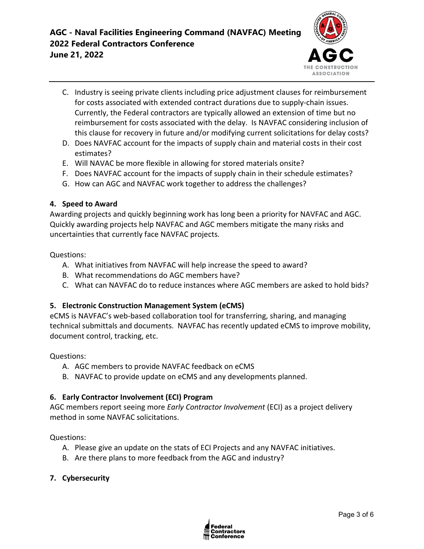

- C. Industry is seeing private clients including price adjustment clauses for reimbursement for costs associated with extended contract durations due to supply-chain issues. Currently, the Federal contractors are typically allowed an extension of time but no reimbursement for costs associated with the delay. Is NAVFAC considering inclusion of this clause for recovery in future and/or modifying current solicitations for delay costs?
- D. Does NAVFAC account for the impacts of supply chain and material costs in their cost estimates?
- E. Will NAVAC be more flexible in allowing for stored materials onsite?
- F. Does NAVFAC account for the impacts of supply chain in their schedule estimates?
- G. How can AGC and NAVFAC work together to address the challenges?

### **4. Speed to Award**

Awarding projects and quickly beginning work has long been a priority for NAVFAC and AGC. Quickly awarding projects help NAVFAC and AGC members mitigate the many risks and uncertainties that currently face NAVFAC projects.

Questions:

- A. What initiatives from NAVFAC will help increase the speed to award?
- B. What recommendations do AGC members have?
- C. What can NAVFAC do to reduce instances where AGC members are asked to hold bids?

### **5. Electronic Construction Management System (eCMS)**

eCMS is NAVFAC's web-based collaboration tool for transferring, sharing, and managing technical submittals and documents. NAVFAC has recently updated eCMS to improve mobility, document control, tracking, etc.

Questions:

- A. AGC members to provide NAVFAC feedback on eCMS
- B. NAVFAC to provide update on eCMS and any developments planned.

### **6. Early Contractor Involvement (ECI) Program**

AGC members report seeing more *Early Contractor Involvement* (ECI) as a project delivery method in some NAVFAC solicitations.

Questions:

- A. Please give an update on the stats of ECI Projects and any NAVFAC initiatives.
- B. Are there plans to more feedback from the AGC and industry?
- **7. Cybersecurity**

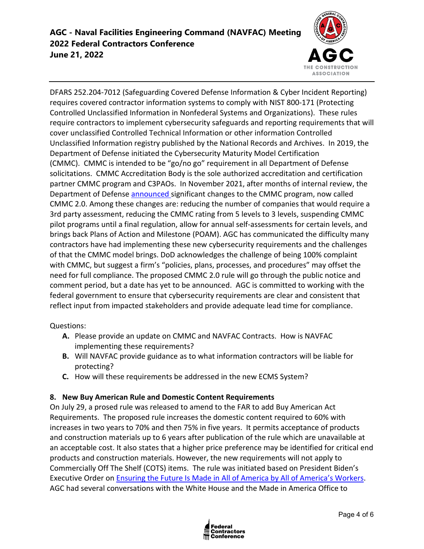

DFARS 252.204-7012 (Safeguarding Covered Defense Information & Cyber Incident Reporting) requires covered contractor information systems to comply with NIST 800-171 (Protecting Controlled Unclassified Information in Nonfederal Systems and Organizations). These rules require contractors to implement cybersecurity safeguards and reporting requirements that will cover unclassified Controlled Technical Information or other information Controlled Unclassified Information registry published by the National Records and Archives. In 2019, the Department of Defense initiated the Cybersecurity Maturity Model Certification (CMMC). CMMC is intended to be "go/no go" requirement in all Department of Defense solicitations. CMMC Accreditation Body is the sole authorized accreditation and certification partner CMMC program and C3PAOs. In November 2021, after months of internal review, the Department of Defense **[announced](https://www.defense.gov/News/Releases/Release/Article/2833006/strategic-direction-for-cybersecurity-maturity-model-certification-cmmc-program/)** significant changes to the CMMC program, now called CMMC 2.0. Among these changes are: reducing the number of companies that would require a 3rd party assessment, reducing the CMMC rating from 5 levels to 3 levels, suspending CMMC pilot programs until a final regulation, allow for annual self-assessments for certain levels, and brings back Plans of Action and Milestone (POAM). AGC has communicated the difficulty many contractors have had implementing these new cybersecurity requirements and the challenges of that the CMMC model brings. DoD acknowledges the challenge of being 100% complaint with CMMC, but suggest a firm's "policies, plans, processes, and procedures" may offset the need for full compliance. The proposed CMMC 2.0 rule will go through the public notice and comment period, but a date has yet to be announced. AGC is committed to working with the federal government to ensure that cybersecurity requirements are clear and consistent that reflect input from impacted stakeholders and provide adequate lead time for compliance.

Questions:

- **A.** Please provide an update on CMMC and NAVFAC Contracts. How is NAVFAC implementing these requirements?
- **B.** Will NAVFAC provide guidance as to what information contractors will be liable for protecting?
- **C.** How will these requirements be addressed in the new ECMS System?

### **8. New Buy American Rule and Domestic Content Requirements**

On July 29, a prosed rule was released to amend to the FAR to add Buy American Act Requirements. The proposed rule increases the domestic content required to 60% with increases in two years to 70% and then 75% in five years. It permits acceptance of products and construction materials up to 6 years after publication of the rule which are unavailable at an acceptable cost. It also states that a higher price preference may be identified for critical end products and construction materials. However, the new requirements will not apply to Commercially Off The Shelf (COTS) items. The rule was initiated based on President Biden's Executive Order on [Ensuring the Future Is Made in All of America by All of America's Workers.](https://www.whitehouse.gov/briefing-room/presidential-actions/2021/01/25/executive-order-on-ensuring-the-future-is-made-in-all-of-america-by-all-of-americas-workers/) AGC had several conversations with the White House and the Made in America Office to

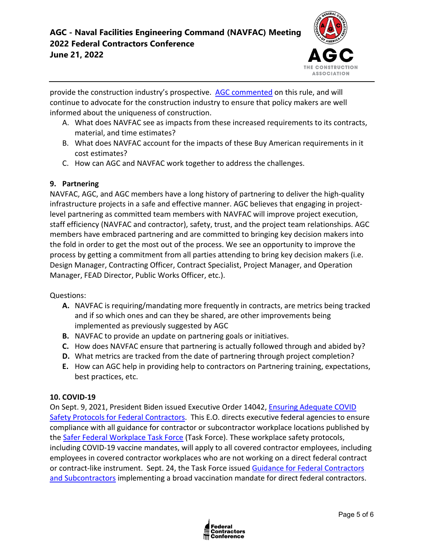# **AGC - Naval Facilities Engineering Command (NAVFAC) Meeting 2022 Federal Contractors Conference June 21, 2022**



provide the construction industry's prospective. [AGC commented](https://www.regulations.gov/comment/FAR-2021-0008-0008) on this rule, and will continue to advocate for the construction industry to ensure that policy makers are well informed about the uniqueness of construction.

- A. What does NAVFAC see as impacts from these increased requirements to its contracts, material, and time estimates?
- B. What does NAVFAC account for the impacts of these Buy American requirements in it cost estimates?
- C. How can AGC and NAVFAC work together to address the challenges.

### **9. Partnering**

NAVFAC, AGC, and AGC members have a long history of partnering to deliver the high-quality infrastructure projects in a safe and effective manner. AGC believes that engaging in projectlevel partnering as committed team members with NAVFAC will improve project execution, staff efficiency (NAVFAC and contractor), safety, trust, and the project team relationships. AGC members have embraced partnering and are committed to bringing key decision makers into the fold in order to get the most out of the process. We see an opportunity to improve the process by getting a commitment from all parties attending to bring key decision makers (i.e. Design Manager, Contracting Officer, Contract Specialist, Project Manager, and Operation Manager, FEAD Director, Public Works Officer, etc.).

### Questions:

- **A.** NAVFAC is requiring/mandating more frequently in contracts, are metrics being tracked and if so which ones and can they be shared, are other improvements being implemented as previously suggested by AGC
- **B.** NAVFAC to provide an update on partnering goals or initiatives.
- **C.** How does NAVFAC ensure that partnering is actually followed through and abided by?
- **D.** What metrics are tracked from the date of partnering through project completion?
- **E.** How can AGC help in providing help to contractors on Partnering training, expectations, best practices, etc.

### **10. COVID-19**

On Sept. 9, 2021, President Biden issued Executive Order 14042, [Ensuring Adequate COVID](https://www.whitehouse.gov/briefing-room/presidential-actions/2021/09/09/executive-order-on-ensuring-adequate-covid-safety-protocols-for-federal-contractors/)  [Safety Protocols for Federal Contractors.](https://www.whitehouse.gov/briefing-room/presidential-actions/2021/09/09/executive-order-on-ensuring-adequate-covid-safety-protocols-for-federal-contractors/) This E.O. directs executive federal agencies to ensure compliance with all guidance for contractor or subcontractor workplace locations published by the [Safer Federal Workplace Task Force](https://www.saferfederalworkforce.gov/new/) (Task Force). These workplace safety protocols, including COVID-19 vaccine mandates, will apply to all covered contractor employees, including employees in covered contractor workplaces who are not working on a direct federal contract or contract-like instrument. Sept. 24, the Task Force issued [Guidance for Federal Contractors](https://www.saferfederalworkforce.gov/downloads/Draft%20contractor%20guidance%20doc_20210922.pdf)  [and Subcontractors](https://www.saferfederalworkforce.gov/downloads/Draft%20contractor%20guidance%20doc_20210922.pdf) implementing a broad vaccination mandate for direct federal contractors.